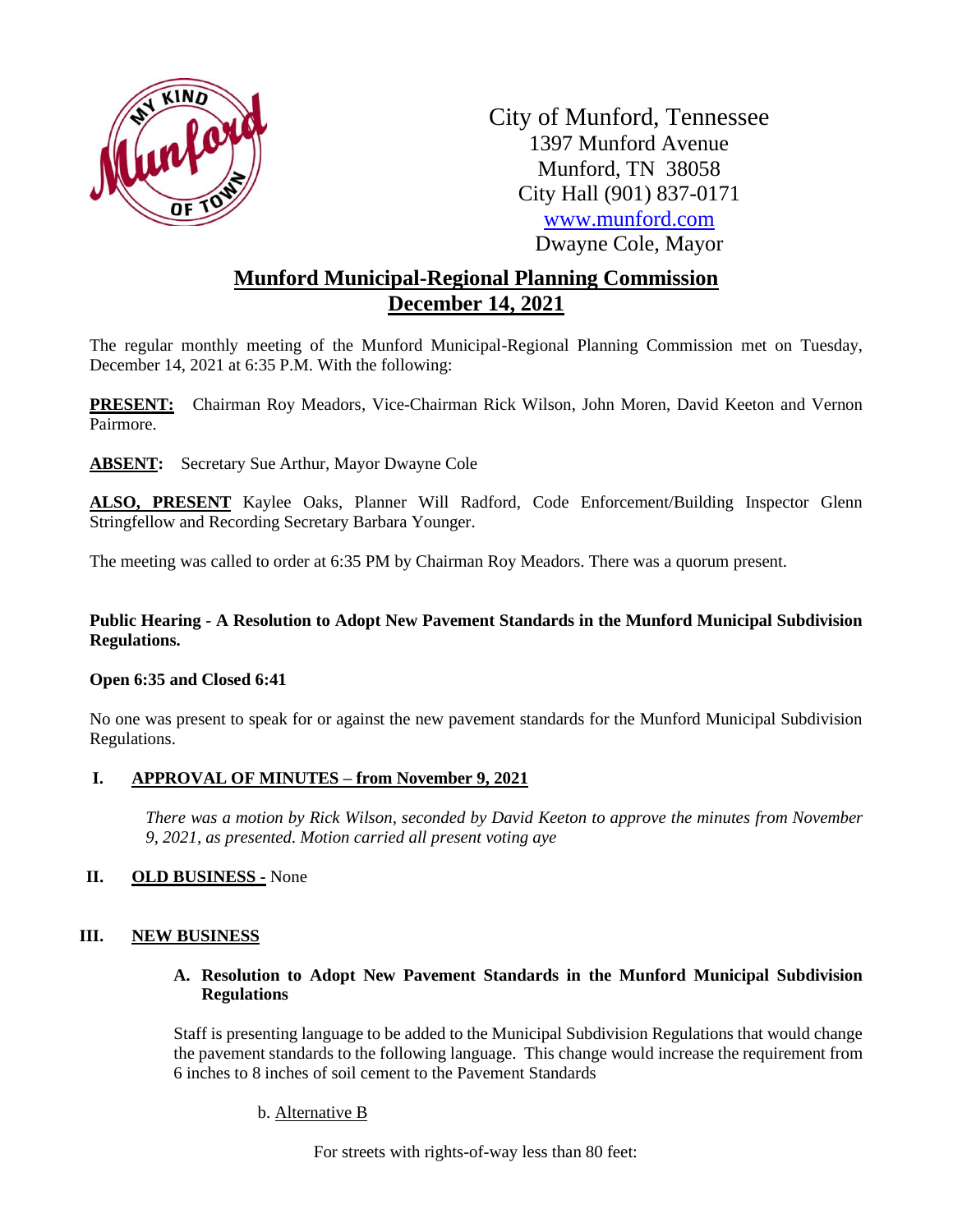

City of Munford, Tennessee 1397 Munford Avenue Munford, TN 38058 City Hall (901) 837-0171 [www.munford.com](http://www.munford.com/) Dwayne Cole, Mayor

# **Munford Municipal-Regional Planning Commission December 14, 2021**

The regular monthly meeting of the Munford Municipal-Regional Planning Commission met on Tuesday, December 14, 2021 at 6:35 P.M. With the following:

**PRESENT:** Chairman Roy Meadors, Vice-Chairman Rick Wilson, John Moren, David Keeton and Vernon Pairmore.

**ABSENT:** Secretary Sue Arthur, Mayor Dwayne Cole

**ALSO, PRESENT** Kaylee Oaks, Planner Will Radford, Code Enforcement/Building Inspector Glenn Stringfellow and Recording Secretary Barbara Younger.

The meeting was called to order at 6:35 PM by Chairman Roy Meadors. There was a quorum present.

## **Public Hearing - A Resolution to Adopt New Pavement Standards in the Munford Municipal Subdivision Regulations.**

## **Open 6:35 and Closed 6:41**

No one was present to speak for or against the new pavement standards for the Munford Municipal Subdivision Regulations.

## **I. APPROVAL OF MINUTES – from November 9, 2021**

*There was a motion by Rick Wilson, seconded by David Keeton to approve the minutes from November 9, 2021, as presented. Motion carried all present voting aye*

## **II. OLD BUSINESS -** None

## **III. NEW BUSINESS**

## **A. Resolution to Adopt New Pavement Standards in the Munford Municipal Subdivision Regulations**

Staff is presenting language to be added to the Municipal Subdivision Regulations that would change the pavement standards to the following language. This change would increase the requirement from 6 inches to 8 inches of soil cement to the Pavement Standards

b. Alternative B

For streets with rights-of-way less than 80 feet: